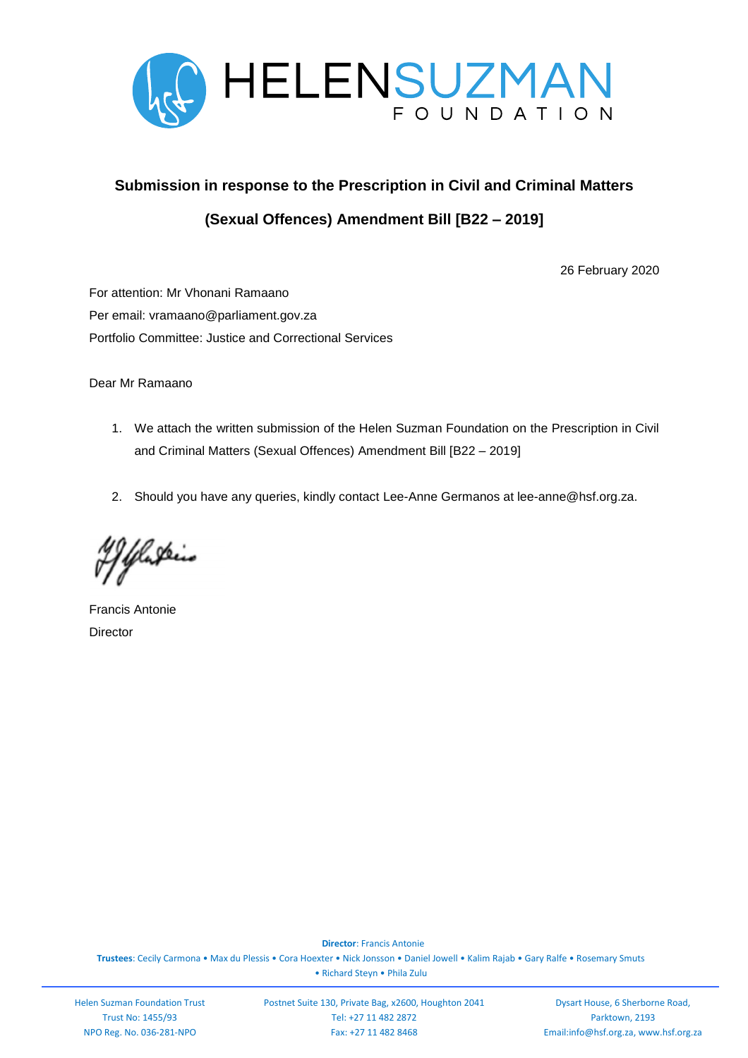

# **Submission in response to the Prescription in Civil and Criminal Matters (Sexual Offences) Amendment Bill [B22 – 2019]**

26 February 2020

For attention: Mr Vhonani Ramaano Per email: vramaano@parliament.gov.za Portfolio Committee: Justice and Correctional Services

Dear Mr Ramaano

- 1. We attach the written submission of the Helen Suzman Foundation on the Prescription in Civil and Criminal Matters (Sexual Offences) Amendment Bill [B22 – 2019]
- 2. Should you have any queries, kindly contact Lee-Anne Germanos at lee-anne@hsf.org.za.

Yelaskin

Francis Antonie **Director** 

 **Director**: Francis Antonie **Trustees**: Cecily Carmona • Max du Plessis • Cora Hoexter • Nick Jonsson • Daniel Jowell • Kalim Rajab • Gary Ralfe • Rosemary Smuts • Richard Steyn • Phila Zulu

Helen Suzman Foundation Trust Trust No: 1455/93 NPO Reg. No. 036-281-NPO

Postnet Suite 130, Private Bag, x2600, Houghton 2041 Tel: +27 11 482 2872 Fax: +27 11 482 8468

**Patrons**: Prof. Thuli Madonsela • Lord Robin Renwick

Dysart House, 6 Sherborne Road, Parktown, 2193 Email:info@hsf.org.za, www.hsf.org.za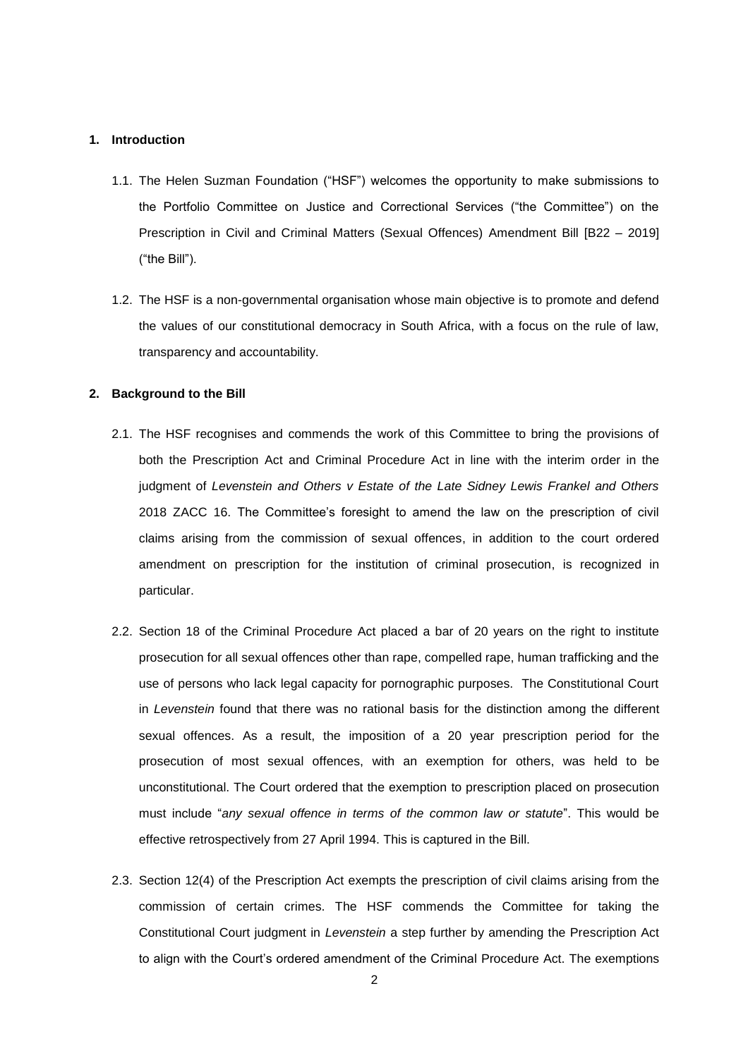#### **1. Introduction**

- 1.1. The Helen Suzman Foundation ("HSF") welcomes the opportunity to make submissions to the Portfolio Committee on Justice and Correctional Services ("the Committee") on the Prescription in Civil and Criminal Matters (Sexual Offences) Amendment Bill [B22 – 2019] ("the Bill").
- 1.2. The HSF is a non-governmental organisation whose main objective is to promote and defend the values of our constitutional democracy in South Africa, with a focus on the rule of law, transparency and accountability.

### **2. Background to the Bill**

- 2.1. The HSF recognises and commends the work of this Committee to bring the provisions of both the Prescription Act and Criminal Procedure Act in line with the interim order in the judgment of *Levenstein and Others v Estate of the Late Sidney Lewis Frankel and Others* 2018 ZACC 16. The Committee's foresight to amend the law on the prescription of civil claims arising from the commission of sexual offences, in addition to the court ordered amendment on prescription for the institution of criminal prosecution, is recognized in particular.
- 2.2. Section 18 of the Criminal Procedure Act placed a bar of 20 years on the right to institute prosecution for all sexual offences other than rape, compelled rape, human trafficking and the use of persons who lack legal capacity for pornographic purposes. The Constitutional Court in *Levenstein* found that there was no rational basis for the distinction among the different sexual offences. As a result, the imposition of a 20 year prescription period for the prosecution of most sexual offences, with an exemption for others, was held to be unconstitutional. The Court ordered that the exemption to prescription placed on prosecution must include "*any sexual offence in terms of the common law or statute*". This would be effective retrospectively from 27 April 1994. This is captured in the Bill.
- 2.3. Section 12(4) of the Prescription Act exempts the prescription of civil claims arising from the commission of certain crimes. The HSF commends the Committee for taking the Constitutional Court judgment in *Levenstein* a step further by amending the Prescription Act to align with the Court's ordered amendment of the Criminal Procedure Act. The exemptions